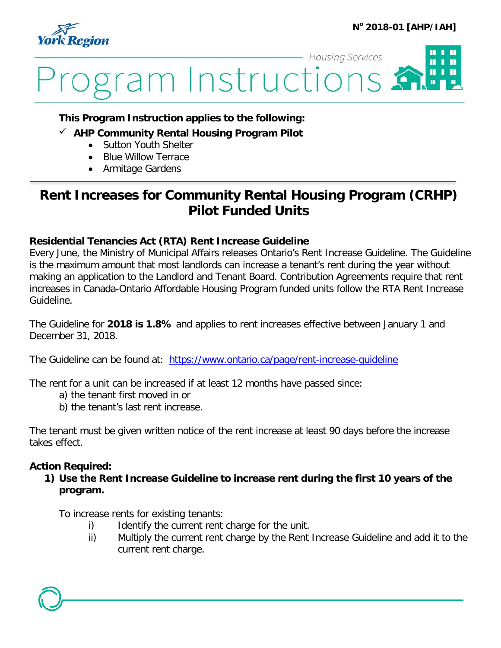



### **This Program Instruction applies to the following:**

- **AHP Community Rental Housing Program Pilot**
	- Sutton Youth Shelter
	- Blue Willow Terrace
	- Armitage Gardens

# **Rent Increases for Community Rental Housing Program (CRHP) Pilot Funded Units**

#### **Residential Tenancies Act (RTA) Rent Increase Guideline**

Every June, the Ministry of Municipal Affairs releases Ontario's Rent Increase Guideline. The Guideline is the maximum amount that most landlords can increase a tenant's rent during the year without making an application to the Landlord and Tenant Board. Contribution Agreements require that rent increases in Canada-Ontario Affordable Housing Program funded units follow the RTA Rent Increase Guideline.

The Guideline for **2018 is 1.8%** and applies to rent increases effective between January 1 and December 31, 2018.

The Guideline can be found at: <https://www.ontario.ca/page/rent-increase-guideline>

The rent for a unit can be increased if at least 12 months have passed since:

- a) the tenant first moved in or
- b) the tenant's last rent increase.

The tenant must be given written notice of the rent increase at least 90 days before the increase takes effect.

#### **Action Required:**

**1) Use the Rent Increase Guideline to increase rent during the first 10 years of the program.**

To increase rents for existing tenants:

- i) Identify the current rent charge for the unit.
- ii) Multiply the current rent charge by the Rent Increase Guideline and add it to the current rent charge.